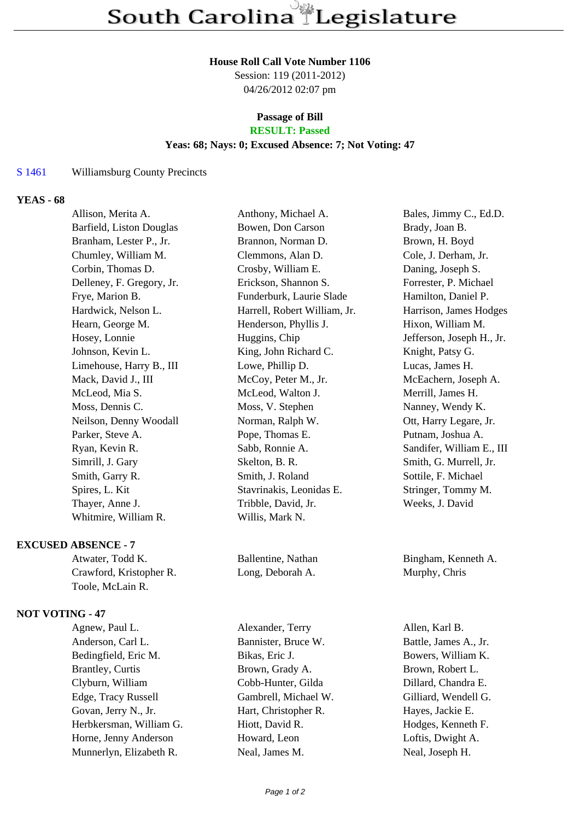#### **House Roll Call Vote Number 1106**

Session: 119 (2011-2012) 04/26/2012 02:07 pm

# **Passage of Bill**

# **RESULT: Passed**

## **Yeas: 68; Nays: 0; Excused Absence: 7; Not Voting: 47**

#### S 1461 Williamsburg County Precincts

#### **YEAS - 68**

| Allison, Merita A.        | Anthony, Michael A.          | Bales, Jimmy C., Ed.D.    |
|---------------------------|------------------------------|---------------------------|
| Barfield, Liston Douglas  | Bowen, Don Carson            | Brady, Joan B.            |
| Branham, Lester P., Jr.   | Brannon, Norman D.           | Brown, H. Boyd            |
| Chumley, William M.       | Clemmons, Alan D.            | Cole, J. Derham, Jr.      |
| Corbin, Thomas D.         | Crosby, William E.           | Daning, Joseph S.         |
| Delleney, F. Gregory, Jr. | Erickson, Shannon S.         | Forrester, P. Michael     |
| Frye, Marion B.           | Funderburk, Laurie Slade     | Hamilton, Daniel P.       |
| Hardwick, Nelson L.       | Harrell, Robert William, Jr. | Harrison, James Hodges    |
| Hearn, George M.          | Henderson, Phyllis J.        | Hixon, William M.         |
| Hosey, Lonnie             | Huggins, Chip                | Jefferson, Joseph H., Jr. |
| Johnson, Kevin L.         | King, John Richard C.        | Knight, Patsy G.          |
| Limehouse, Harry B., III  | Lowe, Phillip D.             | Lucas, James H.           |
| Mack, David J., III       | McCoy, Peter M., Jr.         | McEachern, Joseph A.      |
| McLeod, Mia S.            | McLeod, Walton J.            | Merrill, James H.         |
| Moss, Dennis C.           | Moss, V. Stephen             | Nanney, Wendy K.          |
| Neilson, Denny Woodall    | Norman, Ralph W.             | Ott, Harry Legare, Jr.    |
| Parker, Steve A.          | Pope, Thomas E.              | Putnam, Joshua A.         |
| Ryan, Kevin R.            | Sabb, Ronnie A.              | Sandifer, William E., III |
| Simrill, J. Gary          | Skelton, B. R.               | Smith, G. Murrell, Jr.    |
| Smith, Garry R.           | Smith, J. Roland             | Sottile, F. Michael       |
| Spires, L. Kit            | Stavrinakis, Leonidas E.     | Stringer, Tommy M.        |
| Thayer, Anne J.           | Tribble, David, Jr.          | Weeks, J. David           |
| Whitmire, William R.      | Willis, Mark N.              |                           |
|                           |                              |                           |

#### **EXCUSED ABSENCE - 7**

Atwater, Todd K. Ballentine, Nathan Bingham, Kenneth A. Crawford, Kristopher R. Long, Deborah A. Murphy, Chris Toole, McLain R.

## **NOT VOTING - 47**

Agnew, Paul L. Alexander, Terry Allen, Karl B. Anderson, Carl L. Bannister, Bruce W. Battle, James A., Jr. Bedingfield, Eric M. Bikas, Eric J. Bowers, William K. Brantley, Curtis Brown, Grady A. Brown, Robert L. Clyburn, William Cobb-Hunter, Gilda Dillard, Chandra E. Edge, Tracy Russell Gambrell, Michael W. Gilliard, Wendell G. Govan, Jerry N., Jr. **Hart, Christopher R.** Hayes, Jackie E. Herbkersman, William G. Hiott, David R. Hodges, Kenneth F. Horne, Jenny Anderson Howard, Leon Loftis, Dwight A. Munnerlyn, Elizabeth R. Neal, James M. Neal, Joseph H.